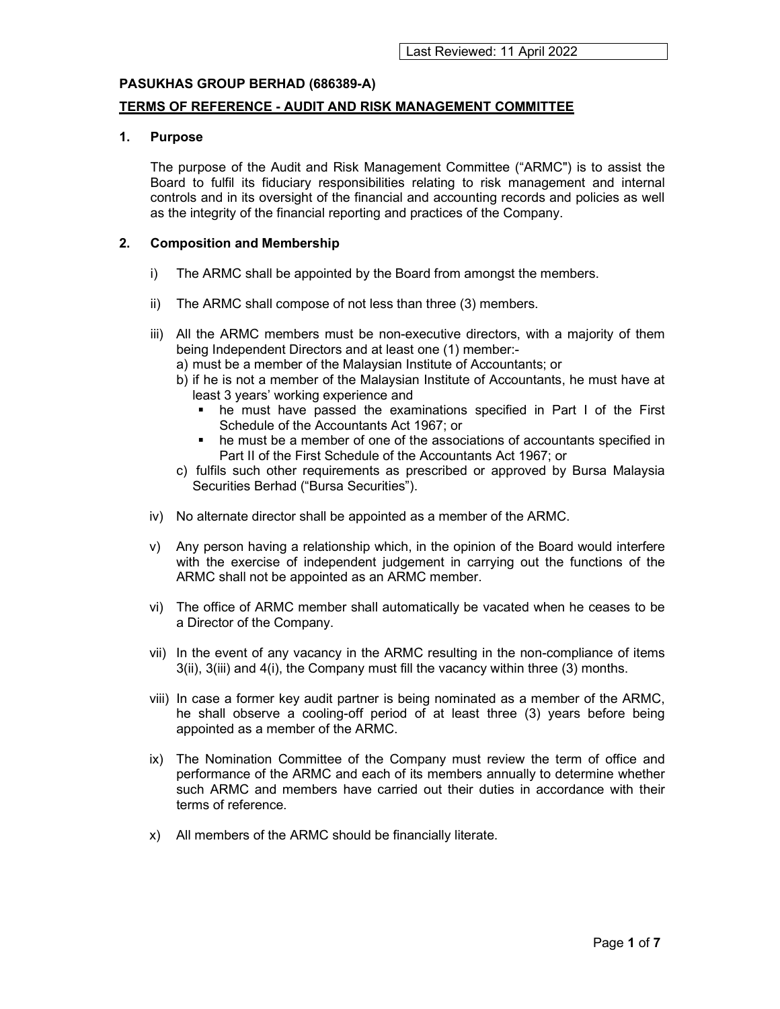### TERMS OF REFERENCE - AUDIT AND RISK MANAGEMENT COMMITTEE

### 1. Purpose

The purpose of the Audit and Risk Management Committee ("ARMC") is to assist the Board to fulfil its fiduciary responsibilities relating to risk management and internal controls and in its oversight of the financial and accounting records and policies as well as the integrity of the financial reporting and practices of the Company.

### 2. Composition and Membership

- i) The ARMC shall be appointed by the Board from amongst the members.
- ii) The ARMC shall compose of not less than three (3) members.
- iii) All the ARMC members must be non-executive directors, with a majority of them being Independent Directors and at least one (1) member:
	- a) must be a member of the Malaysian Institute of Accountants; or
	- b) if he is not a member of the Malaysian Institute of Accountants, he must have at least 3 years' working experience and
		- he must have passed the examinations specified in Part I of the First Schedule of the Accountants Act 1967; or
		- he must be a member of one of the associations of accountants specified in Part II of the First Schedule of the Accountants Act 1967; or
	- c) fulfils such other requirements as prescribed or approved by Bursa Malaysia Securities Berhad ("Bursa Securities").
- iv) No alternate director shall be appointed as a member of the ARMC.
- v) Any person having a relationship which, in the opinion of the Board would interfere with the exercise of independent judgement in carrying out the functions of the ARMC shall not be appointed as an ARMC member.
- vi) The office of ARMC member shall automatically be vacated when he ceases to be a Director of the Company.
- vii) In the event of any vacancy in the ARMC resulting in the non-compliance of items 3(ii), 3(iii) and 4(i), the Company must fill the vacancy within three (3) months.
- viii) In case a former key audit partner is being nominated as a member of the ARMC, he shall observe a cooling-off period of at least three (3) years before being appointed as a member of the ARMC.
- ix) The Nomination Committee of the Company must review the term of office and performance of the ARMC and each of its members annually to determine whether such ARMC and members have carried out their duties in accordance with their terms of reference.
- x) All members of the ARMC should be financially literate.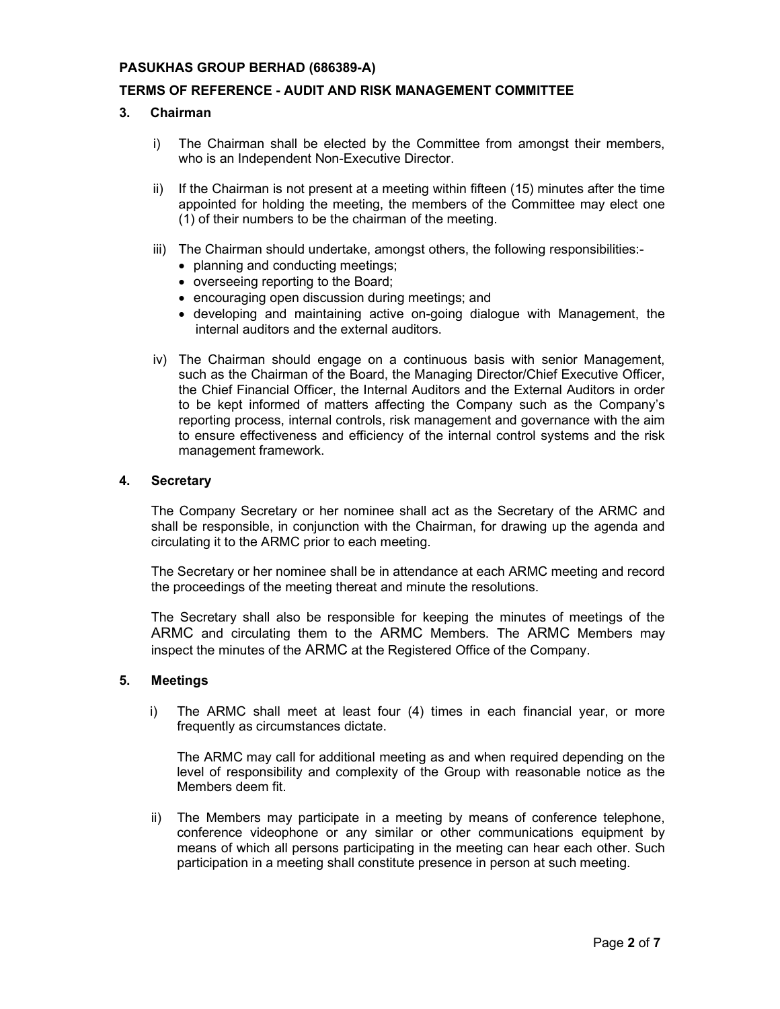# TERMS OF REFERENCE - AUDIT AND RISK MANAGEMENT COMMITTEE

# 3. Chairman

- i) The Chairman shall be elected by the Committee from amongst their members, who is an Independent Non-Executive Director.
- ii) If the Chairman is not present at a meeting within fifteen (15) minutes after the time appointed for holding the meeting, the members of the Committee may elect one (1) of their numbers to be the chairman of the meeting.
- iii) The Chairman should undertake, amongst others, the following responsibilities:-
	- planning and conducting meetings;
	- overseeing reporting to the Board;
	- encouraging open discussion during meetings; and
	- developing and maintaining active on-going dialogue with Management, the internal auditors and the external auditors.
- iv) The Chairman should engage on a continuous basis with senior Management, such as the Chairman of the Board, the Managing Director/Chief Executive Officer, the Chief Financial Officer, the Internal Auditors and the External Auditors in order to be kept informed of matters affecting the Company such as the Company's reporting process, internal controls, risk management and governance with the aim to ensure effectiveness and efficiency of the internal control systems and the risk management framework.

# 4. Secretary

The Company Secretary or her nominee shall act as the Secretary of the ARMC and shall be responsible, in conjunction with the Chairman, for drawing up the agenda and circulating it to the ARMC prior to each meeting.

The Secretary or her nominee shall be in attendance at each ARMC meeting and record the proceedings of the meeting thereat and minute the resolutions.

The Secretary shall also be responsible for keeping the minutes of meetings of the ARMC and circulating them to the ARMC Members. The ARMC Members may inspect the minutes of the ARMC at the Registered Office of the Company.

### 5. Meetings

i) The ARMC shall meet at least four (4) times in each financial year, or more frequently as circumstances dictate.

The ARMC may call for additional meeting as and when required depending on the level of responsibility and complexity of the Group with reasonable notice as the Members deem fit.

ii) The Members may participate in a meeting by means of conference telephone, conference videophone or any similar or other communications equipment by means of which all persons participating in the meeting can hear each other. Such participation in a meeting shall constitute presence in person at such meeting.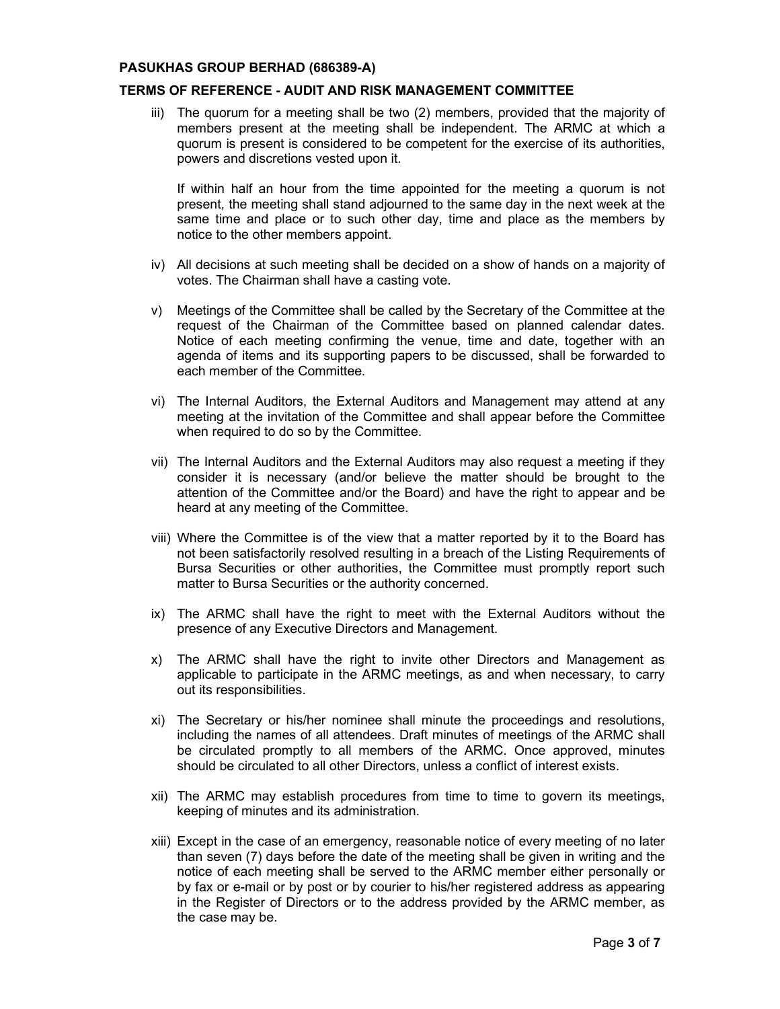# TERMS OF REFERENCE - AUDIT AND RISK MANAGEMENT COMMITTEE

iii) The quorum for a meeting shall be two (2) members, provided that the majority of members present at the meeting shall be independent. The ARMC at which a quorum is present is considered to be competent for the exercise of its authorities, powers and discretions vested upon it.

If within half an hour from the time appointed for the meeting a quorum is not present, the meeting shall stand adjourned to the same day in the next week at the same time and place or to such other day, time and place as the members by notice to the other members appoint.

- iv) All decisions at such meeting shall be decided on a show of hands on a majority of votes. The Chairman shall have a casting vote.
- v) Meetings of the Committee shall be called by the Secretary of the Committee at the request of the Chairman of the Committee based on planned calendar dates. Notice of each meeting confirming the venue, time and date, together with an agenda of items and its supporting papers to be discussed, shall be forwarded to each member of the Committee.
- vi) The Internal Auditors, the External Auditors and Management may attend at any meeting at the invitation of the Committee and shall appear before the Committee when required to do so by the Committee.
- vii) The Internal Auditors and the External Auditors may also request a meeting if they consider it is necessary (and/or believe the matter should be brought to the attention of the Committee and/or the Board) and have the right to appear and be heard at any meeting of the Committee.
- viii) Where the Committee is of the view that a matter reported by it to the Board has not been satisfactorily resolved resulting in a breach of the Listing Requirements of Bursa Securities or other authorities, the Committee must promptly report such matter to Bursa Securities or the authority concerned.
- ix) The ARMC shall have the right to meet with the External Auditors without the presence of any Executive Directors and Management.
- x) The ARMC shall have the right to invite other Directors and Management as applicable to participate in the ARMC meetings, as and when necessary, to carry out its responsibilities.
- xi) The Secretary or his/her nominee shall minute the proceedings and resolutions, including the names of all attendees. Draft minutes of meetings of the ARMC shall be circulated promptly to all members of the ARMC. Once approved, minutes should be circulated to all other Directors, unless a conflict of interest exists.
- xii) The ARMC may establish procedures from time to time to govern its meetings, keeping of minutes and its administration.
- xiii) Except in the case of an emergency, reasonable notice of every meeting of no later than seven (7) days before the date of the meeting shall be given in writing and the notice of each meeting shall be served to the ARMC member either personally or by fax or e-mail or by post or by courier to his/her registered address as appearing in the Register of Directors or to the address provided by the ARMC member, as the case may be.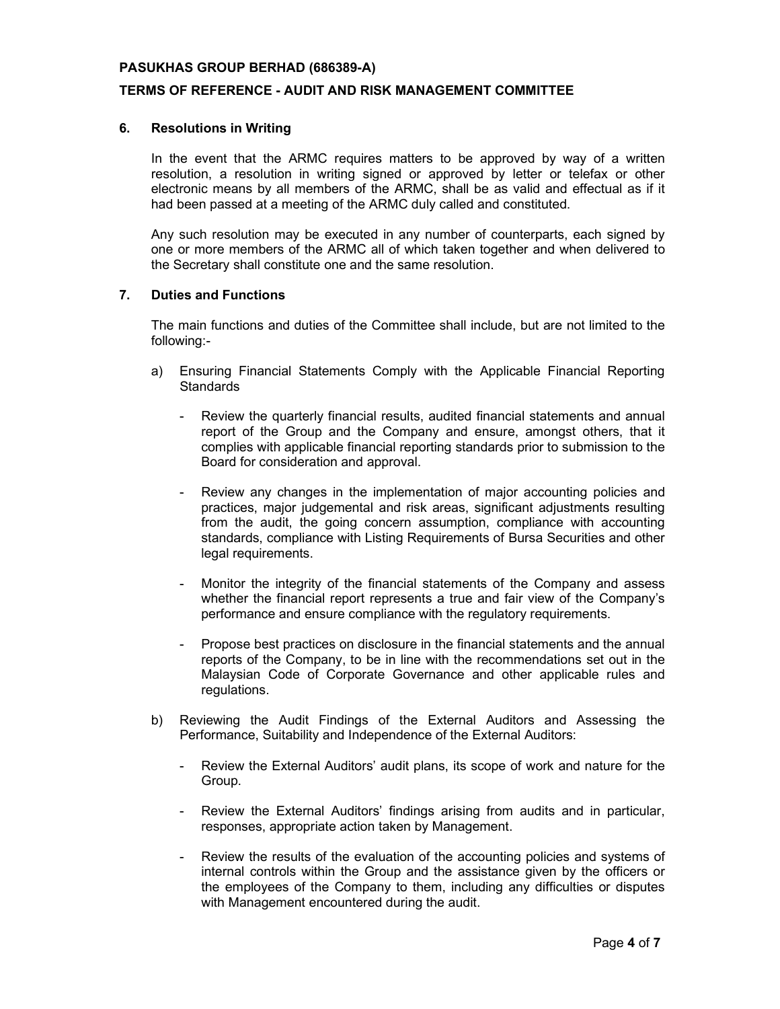## TERMS OF REFERENCE - AUDIT AND RISK MANAGEMENT COMMITTEE

#### 6. Resolutions in Writing

In the event that the ARMC requires matters to be approved by way of a written resolution, a resolution in writing signed or approved by letter or telefax or other electronic means by all members of the ARMC, shall be as valid and effectual as if it had been passed at a meeting of the ARMC duly called and constituted.

Any such resolution may be executed in any number of counterparts, each signed by one or more members of the ARMC all of which taken together and when delivered to the Secretary shall constitute one and the same resolution.

#### 7. Duties and Functions

The main functions and duties of the Committee shall include, but are not limited to the following:-

- a) Ensuring Financial Statements Comply with the Applicable Financial Reporting **Standards** 
	- Review the quarterly financial results, audited financial statements and annual report of the Group and the Company and ensure, amongst others, that it complies with applicable financial reporting standards prior to submission to the Board for consideration and approval.
	- Review any changes in the implementation of major accounting policies and practices, major judgemental and risk areas, significant adjustments resulting from the audit, the going concern assumption, compliance with accounting standards, compliance with Listing Requirements of Bursa Securities and other legal requirements.
	- Monitor the integrity of the financial statements of the Company and assess whether the financial report represents a true and fair view of the Company's performance and ensure compliance with the regulatory requirements.
	- Propose best practices on disclosure in the financial statements and the annual reports of the Company, to be in line with the recommendations set out in the Malaysian Code of Corporate Governance and other applicable rules and regulations.
- b) Reviewing the Audit Findings of the External Auditors and Assessing the Performance, Suitability and Independence of the External Auditors:
	- Review the External Auditors' audit plans, its scope of work and nature for the Group.
	- Review the External Auditors' findings arising from audits and in particular, responses, appropriate action taken by Management.
	- Review the results of the evaluation of the accounting policies and systems of internal controls within the Group and the assistance given by the officers or the employees of the Company to them, including any difficulties or disputes with Management encountered during the audit.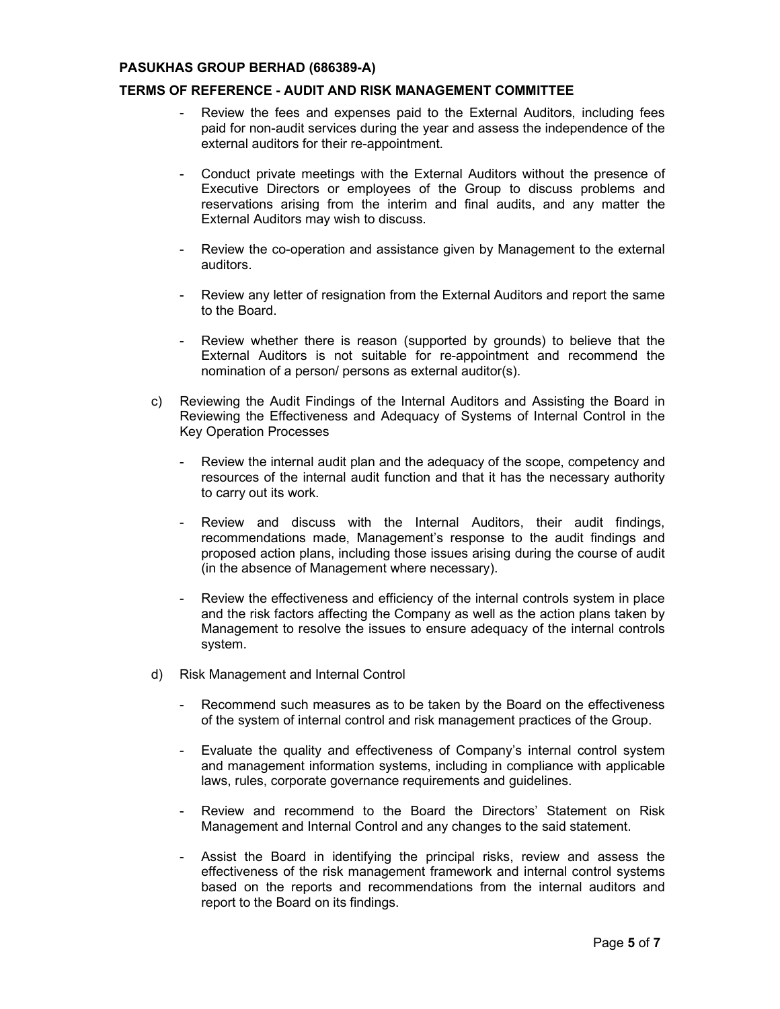## TERMS OF REFERENCE - AUDIT AND RISK MANAGEMENT COMMITTEE

- Review the fees and expenses paid to the External Auditors, including fees paid for non-audit services during the year and assess the independence of the external auditors for their re-appointment.
- Conduct private meetings with the External Auditors without the presence of Executive Directors or employees of the Group to discuss problems and reservations arising from the interim and final audits, and any matter the External Auditors may wish to discuss.
- Review the co-operation and assistance given by Management to the external auditors.
- Review any letter of resignation from the External Auditors and report the same to the Board.
- Review whether there is reason (supported by grounds) to believe that the External Auditors is not suitable for re-appointment and recommend the nomination of a person/ persons as external auditor(s).
- c) Reviewing the Audit Findings of the Internal Auditors and Assisting the Board in Reviewing the Effectiveness and Adequacy of Systems of Internal Control in the Key Operation Processes
	- Review the internal audit plan and the adequacy of the scope, competency and resources of the internal audit function and that it has the necessary authority to carry out its work.
	- Review and discuss with the Internal Auditors, their audit findings, recommendations made, Management's response to the audit findings and proposed action plans, including those issues arising during the course of audit (in the absence of Management where necessary).
	- Review the effectiveness and efficiency of the internal controls system in place and the risk factors affecting the Company as well as the action plans taken by Management to resolve the issues to ensure adequacy of the internal controls system.
- d) Risk Management and Internal Control
	- Recommend such measures as to be taken by the Board on the effectiveness of the system of internal control and risk management practices of the Group.
	- Evaluate the quality and effectiveness of Company's internal control system and management information systems, including in compliance with applicable laws, rules, corporate governance requirements and guidelines.
	- Review and recommend to the Board the Directors' Statement on Risk Management and Internal Control and any changes to the said statement.
	- Assist the Board in identifying the principal risks, review and assess the effectiveness of the risk management framework and internal control systems based on the reports and recommendations from the internal auditors and report to the Board on its findings.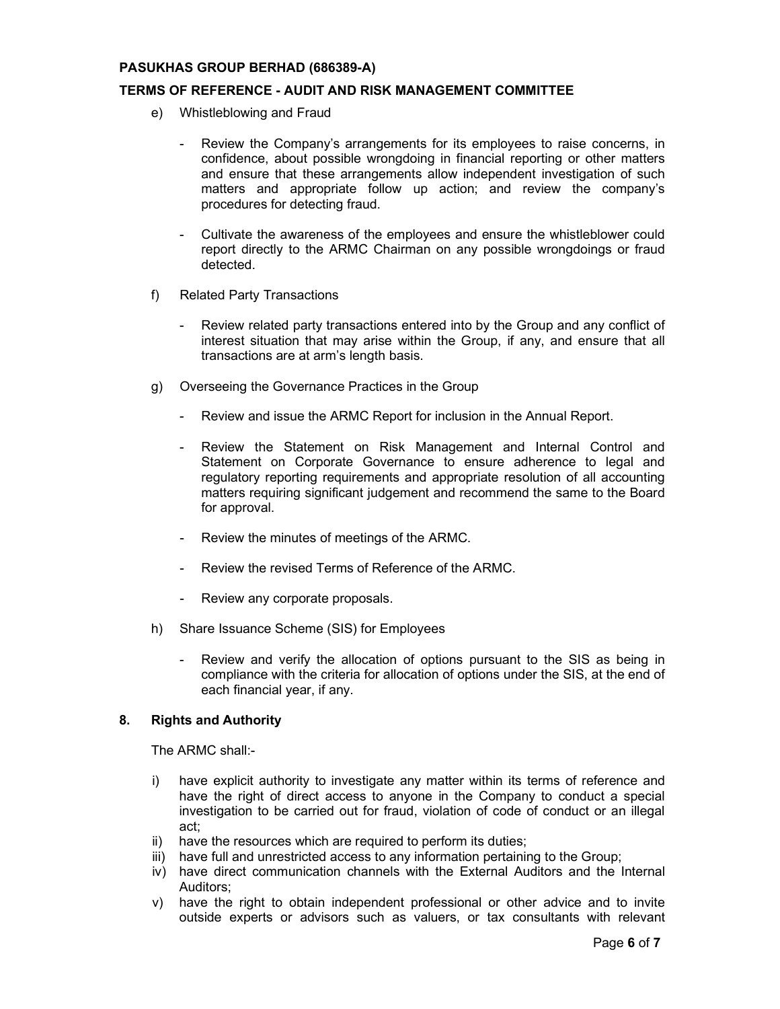### TERMS OF REFERENCE - AUDIT AND RISK MANAGEMENT COMMITTEE

- e) Whistleblowing and Fraud
	- Review the Company's arrangements for its employees to raise concerns, in confidence, about possible wrongdoing in financial reporting or other matters and ensure that these arrangements allow independent investigation of such matters and appropriate follow up action; and review the company's procedures for detecting fraud.
	- Cultivate the awareness of the employees and ensure the whistleblower could report directly to the ARMC Chairman on any possible wrongdoings or fraud detected.
- f) Related Party Transactions
	- Review related party transactions entered into by the Group and any conflict of interest situation that may arise within the Group, if any, and ensure that all transactions are at arm's length basis.
- g) Overseeing the Governance Practices in the Group
	- Review and issue the ARMC Report for inclusion in the Annual Report.
	- Review the Statement on Risk Management and Internal Control and Statement on Corporate Governance to ensure adherence to legal and regulatory reporting requirements and appropriate resolution of all accounting matters requiring significant judgement and recommend the same to the Board for approval.
	- Review the minutes of meetings of the ARMC.
	- Review the revised Terms of Reference of the ARMC.
	- Review any corporate proposals.
- h) Share Issuance Scheme (SIS) for Employees
	- Review and verify the allocation of options pursuant to the SIS as being in compliance with the criteria for allocation of options under the SIS, at the end of each financial year, if any.

#### 8. Rights and Authority

The ARMC shall:-

- i) have explicit authority to investigate any matter within its terms of reference and have the right of direct access to anyone in the Company to conduct a special investigation to be carried out for fraud, violation of code of conduct or an illegal act;
- ii) have the resources which are required to perform its duties;
- iii) have full and unrestricted access to any information pertaining to the Group;
- iv) have direct communication channels with the External Auditors and the Internal Auditors;
- v) have the right to obtain independent professional or other advice and to invite outside experts or advisors such as valuers, or tax consultants with relevant